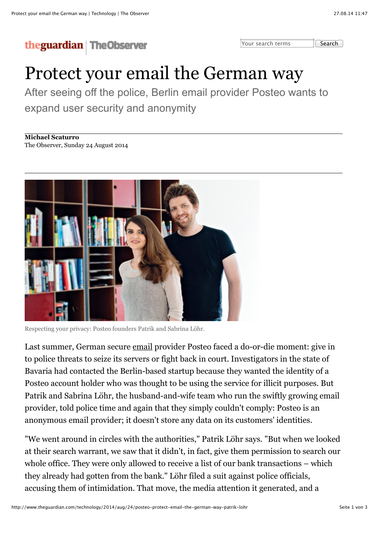theguardian TheObserver

## Protect your email the German way

After seeing off the police, Berlin email provider Posteo wants to expand user security and anonymity

**[Michael Scaturro](http://www.theguardian.com/profile/michael-scaturro)** [The Observer,](http://observer.guardian.co.uk/) Sunday 24 August 2014

Last summer, German secure [email](http://www.theguardian.com/technology/email) provider Posteo faced a do-or-die moment: give in to police threats to seize its servers or fight back in court. Investigators in the state of Bavaria had contacted the Berlin-based startup because they wanted the identity of a Posteo account holder who was thought to be using the service for illicit purposes. But Patrik and Sabrina Löhr, the husband-and-wife team who run the swiftly growing email provider, told police time and again that they simply couldn't comply: Posteo is an anonymous email provider; it doesn't store any data on its customers' identities.

"We went around in circles with the authorities," Patrik Löhr says. "But when we looked at their search warrant, we saw that it didn't, in fact, give them permission to search our whole office. They were only allowed to receive a list of our bank transactions – which they already had gotten from the bank." Löhr filed a suit against police officials, accusing them of intimidation. That move, the media attention it generated, and a





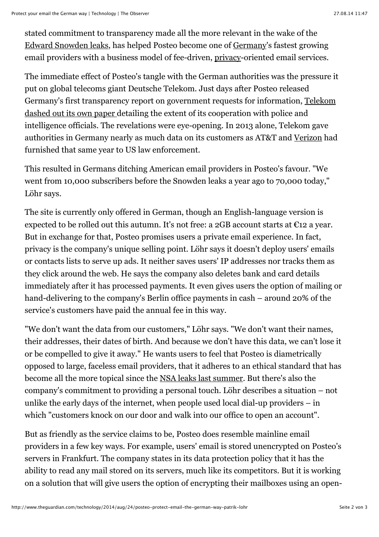stated commitment to transparency made all the more relevant in the wake of the [Edward Snowden leaks,](http://www.theguardian.com/world/2013/jun/11/edward-snowden-nsa-whistleblower-profile) has helped Posteo become one of [Germany](http://www.theguardian.com/world/germany)'s fastest growing email providers with a business model of fee-driven, [privacy](http://www.theguardian.com/world/privacy)-oriented email services.

The immediate effect of Posteo's tangle with the German authorities was the pressure it put on global telecoms giant Deutsche Telekom. Just days after Posteo released [Germany's first transparency report on government requests for information, Telekom](http://www.telekom.com/corporate-responsibility/data-protection/More+Articles/239498) dashed out its own paper detailing the extent of its cooperation with police and intelligence officials. The revelations were eye-opening. In 2013 alone, Telekom gave authorities in Germany nearly as much data on its customers as AT&T and [Verizon](http://about.att.com/content/csr/home/frequently-requested-info/governance/transparencyreport.html) had furnished that same year to US law enforcement.

This resulted in Germans ditching American email providers in Posteo's favour. "We went from 10,000 subscribers before the Snowden leaks a year ago to 70,000 today," Löhr says.

The site is currently only offered in German, though an English-language version is expected to be rolled out this autumn. It's not free: a  $2GB$  account starts at  $E12$  a year. But in exchange for that, Posteo promises users a private email experience. In fact, privacy is the company's unique selling point. Löhr says it doesn't deploy users' emails or contacts lists to serve up ads. It neither saves users' IP addresses nor tracks them as they click around the web. He says the company also deletes bank and card details immediately after it has processed payments. It even gives users the option of mailing or hand-delivering to the company's Berlin office payments in cash – around 20% of the service's customers have paid the annual fee in this way.

"We don't want the data from our customers," Löhr says. "We don't want their names, their addresses, their dates of birth. And because we don't have this data, we can't lose it or be compelled to give it away." He wants users to feel that Posteo is diametrically opposed to large, faceless email providers, that it adheres to an ethical standard that has become all the more topical since the [NSA leaks last summer.](http://www.theguardian.com/world/2013/jun/09/edward-snowden-nsa-whistleblower-surveillance) But there's also the company's commitment to providing a personal touch. Löhr describes a situation – not unlike the early days of the internet, when people used local dial-up providers – in which "customers knock on our door and walk into our office to open an account".

But as friendly as the service claims to be, Posteo does resemble mainline email providers in a few key ways. For example, users' email is stored unencrypted on Posteo's servers in Frankfurt. The company states in its data protection policy that it has the ability to read any mail stored on its servers, much like its competitors. But it is working on a solution that will give users the option of encrypting their mailboxes using an open